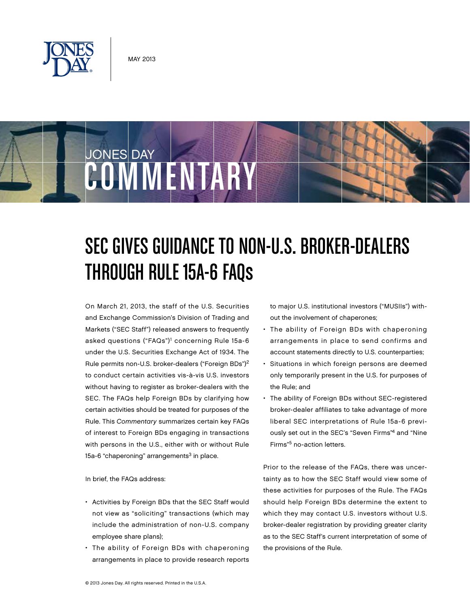

JONES DAY



On March 21, 2013, the staff of the U.S. Securities and Exchange Commission's Division of Trading and Markets ("SEC Staff") released answers to frequently asked questions ("FAQs")<sup>1</sup> concerning Rule 15a-6 under the U.S. Securities Exchange Act of 1934. The Rule permits non-U.S. broker-dealers ("Foreign BDs")2 to conduct certain activities vis-à-vis U.S. investors without having to register as broker-dealers with the SEC. The FAQs help Foreign BDs by clarifying how certain activities should be treated for purposes of the Rule. This Commentary summarizes certain key FAQs of interest to Foreign BDs engaging in transactions with persons in the U.S., either with or without Rule 15a-6 "chaperoning" arrangements $3$  in place.

COMMENTARY

In brief, the FAQs address:

- Activities by Foreign BDs that the SEC Staff would not view as "soliciting" transactions (which may include the administration of non-U.S. company employee share plans);
- The ability of Foreign BDs with chaperoning arrangements in place to provide research reports

to major U.S. institutional investors ("MUSIIs") without the involvement of chaperones;

- The ability of Foreign BDs with chaperoning arrangements in place to send confirms and account statements directly to U.S. counterparties;
- Situations in which foreign persons are deemed only temporarily present in the U.S. for purposes of the Rule; and
- The ability of Foreign BDs without SEC-registered broker-dealer affiliates to take advantage of more liberal SEC interpretations of Rule 15a-6 previously set out in the SEC's "Seven Firms"4 and "Nine Firms"5 no-action letters.

Prior to the release of the FAQs, there was uncertainty as to how the SEC Staff would view some of these activities for purposes of the Rule. The FAQs should help Foreign BDs determine the extent to which they may contact U.S. investors without U.S. broker-dealer registration by providing greater clarity as to the SEC Staff's current interpretation of some of the provisions of the Rule.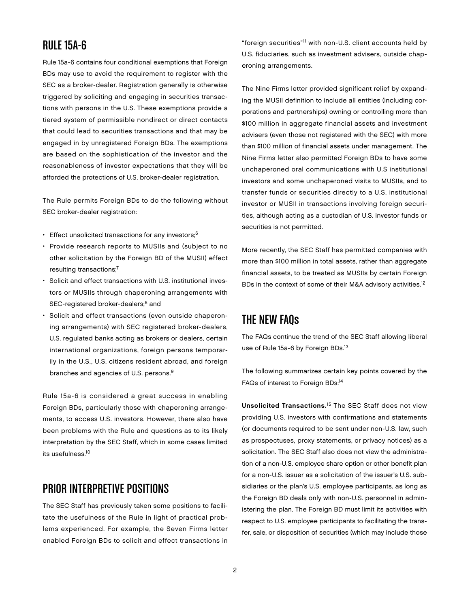#### Rule 15a-6

Rule 15a-6 contains four conditional exemptions that Foreign BDs may use to avoid the requirement to register with the SEC as a broker-dealer. Registration generally is otherwise triggered by soliciting and engaging in securities transactions with persons in the U.S. These exemptions provide a tiered system of permissible nondirect or direct contacts that could lead to securities transactions and that may be engaged in by unregistered Foreign BDs. The exemptions are based on the sophistication of the investor and the reasonableness of investor expectations that they will be afforded the protections of U.S. broker-dealer registration.

The Rule permits Foreign BDs to do the following without SEC broker-dealer registration:

- Effect unsolicited transactions for any investors;<sup>6</sup>
- Provide research reports to MUSIIs and (subject to no other solicitation by the Foreign BD of the MUSII) effect resulting transactions;7
- Solicit and effect transactions with U.S. institutional investors or MUSIIs through chaperoning arrangements with SEC-registered broker-dealers;<sup>8</sup> and
- Solicit and effect transactions (even outside chaperoning arrangements) with SEC registered broker-dealers, U.S. regulated banks acting as brokers or dealers, certain international organizations, foreign persons temporarily in the U.S., U.S. citizens resident abroad, and foreign branches and agencies of U.S. persons.9

Rule 15a-6 is considered a great success in enabling Foreign BDs, particularly those with chaperoning arrangements, to access U.S. investors. However, there also have been problems with the Rule and questions as to its likely interpretation by the SEC Staff, which in some cases limited its usefulness.10

#### Prior Interpretive Positions

The SEC Staff has previously taken some positions to facilitate the usefulness of the Rule in light of practical problems experienced. For example, the Seven Firms letter enabled Foreign BDs to solicit and effect transactions in "foreign securities"11 with non-U.S. client accounts held by U.S. fiduciaries, such as investment advisers, outside chaperoning arrangements.

The Nine Firms letter provided significant relief by expanding the MUSII definition to include all entities (including corporations and partnerships) owning or controlling more than \$100 million in aggregate financial assets and investment advisers (even those not registered with the SEC) with more than \$100 million of financial assets under management. The Nine Firms letter also permitted Foreign BDs to have some unchaperoned oral communications with U.S institutional investors and some unchaperoned visits to MUSIIs, and to transfer funds or securities directly to a U.S. institutional investor or MUSII in transactions involving foreign securities, although acting as a custodian of U.S. investor funds or securities is not permitted.

More recently, the SEC Staff has permitted companies with more than \$100 million in total assets, rather than aggregate financial assets, to be treated as MUSIIs by certain Foreign BDs in the context of some of their M&A advisory activities.<sup>12</sup>

# **THE NEW FAQS**

The FAQs continue the trend of the SEC Staff allowing liberal use of Rule 15a-6 by Foreign BDs.<sup>13</sup>

The following summarizes certain key points covered by the FAQs of interest to Foreign BDs:<sup>14</sup>

Unsolicited Transactions.15 The SEC Staff does not view providing U.S. investors with confirmations and statements (or documents required to be sent under non-U.S. law, such as prospectuses, proxy statements, or privacy notices) as a solicitation. The SEC Staff also does not view the administration of a non-U.S. employee share option or other benefit plan for a non-U.S. issuer as a solicitation of the issuer's U.S. subsidiaries or the plan's U.S. employee participants, as long as the Foreign BD deals only with non-U.S. personnel in administering the plan. The Foreign BD must limit its activities with respect to U.S. employee participants to facilitating the transfer, sale, or disposition of securities (which may include those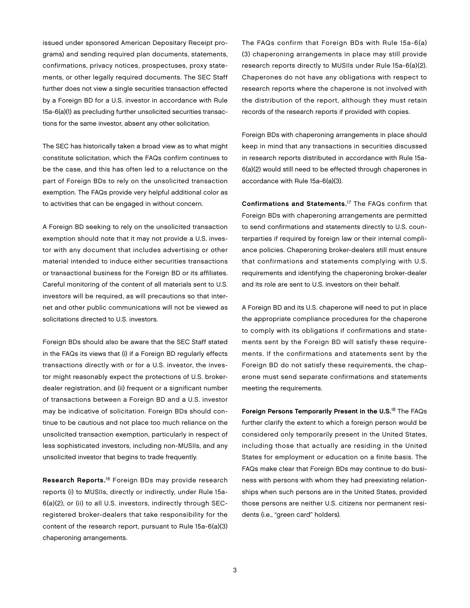issued under sponsored American Depositary Receipt programs) and sending required plan documents, statements, confirmations, privacy notices, prospectuses, proxy statements, or other legally required documents. The SEC Staff further does not view a single securities transaction effected by a Foreign BD for a U.S. investor in accordance with Rule 15a-6(a)(1) as precluding further unsolicited securities transactions for the same investor, absent any other solicitation.

The SEC has historically taken a broad view as to what might constitute solicitation, which the FAQs confirm continues to be the case, and this has often led to a reluctance on the part of Foreign BDs to rely on the unsolicited transaction exemption. The FAQs provide very helpful additional color as to activities that can be engaged in without concern.

A Foreign BD seeking to rely on the unsolicited transaction exemption should note that it may not provide a U.S. investor with any document that includes advertising or other material intended to induce either securities transactions or transactional business for the Foreign BD or its affiliates. Careful monitoring of the content of all materials sent to U.S. investors will be required, as will precautions so that internet and other public communications will not be viewed as solicitations directed to U.S. investors.

Foreign BDs should also be aware that the SEC Staff stated in the FAQs its views that (i) if a Foreign BD regularly effects transactions directly with or for a U.S. investor, the investor might reasonably expect the protections of U.S. brokerdealer registration, and (ii) frequent or a significant number of transactions between a Foreign BD and a U.S. investor may be indicative of solicitation. Foreign BDs should continue to be cautious and not place too much reliance on the unsolicited transaction exemption, particularly in respect of less sophisticated investors, including non-MUSIIs, and any unsolicited investor that begins to trade frequently.

Research Reports.16 Foreign BDs may provide research reports (i) to MUSIIs, directly or indirectly, under Rule 15a-6(a)(2), or (ii) to all U.S. investors, indirectly through SECregistered broker-dealers that take responsibility for the content of the research report, pursuant to Rule 15a-6(a)(3) chaperoning arrangements.

The FAQs confirm that Foreign BDs with Rule 15a-6(a) (3) chaperoning arrangements in place may still provide research reports directly to MUSIIs under Rule 15a-6(a)(2). Chaperones do not have any obligations with respect to research reports where the chaperone is not involved with the distribution of the report, although they must retain records of the research reports if provided with copies.

Foreign BDs with chaperoning arrangements in place should keep in mind that any transactions in securities discussed in research reports distributed in accordance with Rule 15a-6(a)(2) would still need to be effected through chaperones in accordance with Rule 15a-6(a)(3).

Confirmations and Statements.17 The FAQs confirm that Foreign BDs with chaperoning arrangements are permitted to send confirmations and statements directly to U.S. counterparties if required by foreign law or their internal compliance policies. Chaperoning broker-dealers still must ensure that confirmations and statements complying with U.S. requirements and identifying the chaperoning broker-dealer and its role are sent to U.S. investors on their behalf.

A Foreign BD and its U.S. chaperone will need to put in place the appropriate compliance procedures for the chaperone to comply with its obligations if confirmations and statements sent by the Foreign BD will satisfy these requirements. If the confirmations and statements sent by the Foreign BD do not satisfy these requirements, the chaperone must send separate confirmations and statements meeting the requirements.

Foreign Persons Temporarily Present in the U.S.<sup>18</sup> The FAQs further clarify the extent to which a foreign person would be considered only temporarily present in the United States, including those that actually are residing in the United States for employment or education on a finite basis. The FAQs make clear that Foreign BDs may continue to do business with persons with whom they had preexisting relationships when such persons are in the United States, provided those persons are neither U.S. citizens nor permanent residents (i.e., "green card" holders).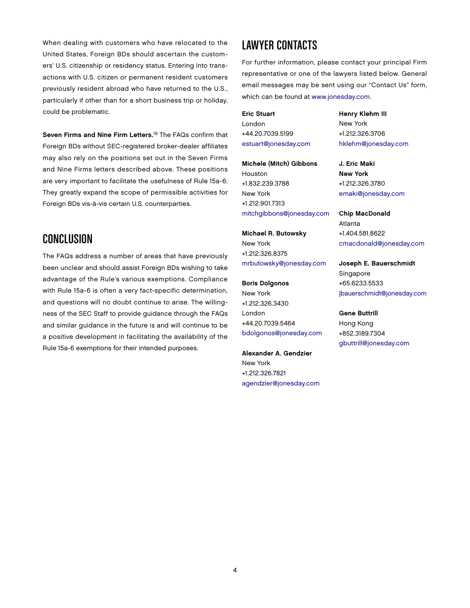When dealing with customers who have relocated to the United States, Foreign BDs should ascertain the customers' U.S. citizenship or residency status. Entering into transactions with U.S. citizen or permanent resident customers previously resident abroad who have returned to the U.S., particularly if other than for a short business trip or holiday, could be problematic.

Seven Firms and Nine Firm Letters.<sup>19</sup> The FAQs confirm that Foreign BDs without SEC-registered broker-dealer affiliates may also rely on the positions set out in the Seven Firms and Nine Firms letters described above. These positions are very important to facilitate the usefulness of Rule 15a-6. They greatly expand the scope of permissible activities for Foreign BDs vis-à-vis certain U.S. counterparties.

# **CONCLUSION**

The FAQs address a number of areas that have previously been unclear and should assist Foreign BDs wishing to take advantage of the Rule's various exemptions. Compliance with Rule 15a-6 is often a very fact-specific determination, and questions will no doubt continue to arise. The willingness of the SEC Staff to provide guidance through the FAQs and similar guidance in the future is and will continue to be a positive development in facilitating the availability of the Rule 15a-6 exemptions for their intended purposes.

## Lawyer Contacts

For further information, please contact your principal Firm representative or one of the lawyers listed below. General email messages may be sent using our "Contact Us" form, which can be found at [www.jonesday.com.](http://www.jonesday.com) 

Eric Stuart London +44.20.7039.5199 [estuart@jonesday.com](mailto:estuart@jonesday.com)

Michele (Mitch) Gibbons Houston +1.832.239.3788 New York +1.212.901.7313 [mitchgibbons@jonesday.com](mailto:mitchgibbons@jonesday.com)

Michael R. Butowsky New York +1.212.326.8375 [mrbutowsky@jonesday.com](mailto:mrbutowsky@jonesday.com)

Boris Dolgonos New York +1.212.326.3430 London +44.20.7039.5464 [bdolgonos@jonesday.com](mailto:bdolgonos@jonesday.com)

Alexander A. Gendzier New York +1.212.326.7821 [agendzier@jonesday.com](mailto:agendzier@jonesday.com) Henry Klehm III New York +1.212.326.3706 [hklehm@jonesday.com](mailto:hklehm@jonesday.com)

J. Eric Maki New York +1.212.326.3780 [emaki@jonesday.com](mailto:emaki@jonesday.com)

Chip MacDonald Atlanta +1.404.581.8622 [cmacdonald@jonesday.com](mailto:cmacdonald@jonesday.com)

Joseph E. Bauerschmidt Singapore +65.6233.5533 [jbauerschmidt@jonesday.com](mailto:jbauerschmidt@jonesday.com)

Gene Buttrill Hong Kong +852.3189.7304 [gbuttrill@jonesday.com](mailto:gbuttrill@jonesday.com)